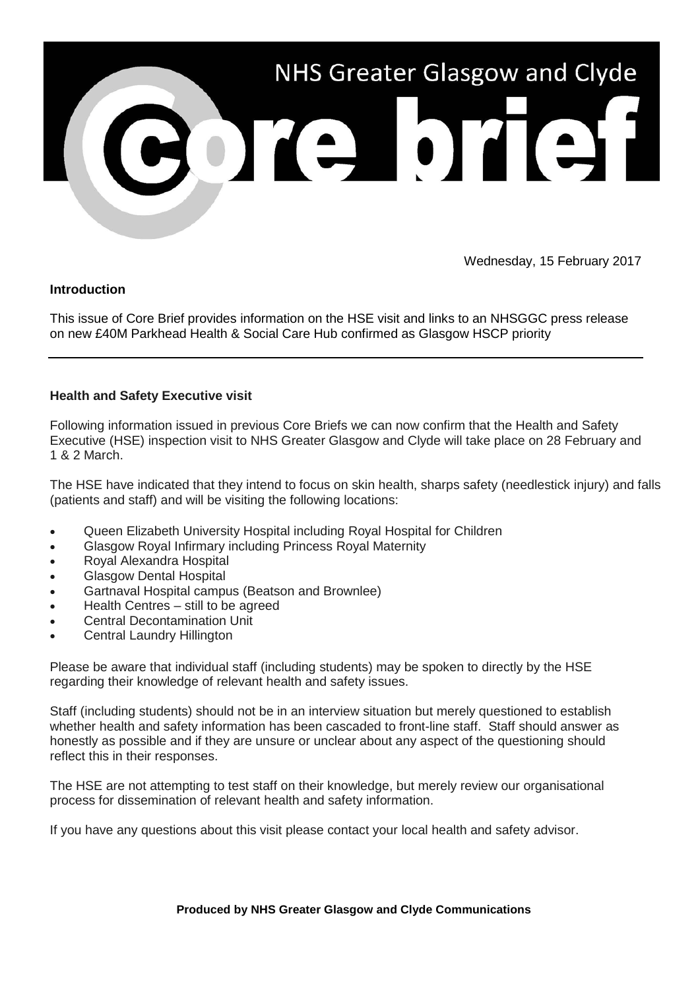

Wednesday, 15 February 2017

## **Introduction**

This issue of Core Brief provides information on the HSE visit and links to an NHSGGC press release on new £40M Parkhead Health & Social Care Hub confirmed as Glasgow HSCP priority

## **Health and Safety Executive visit**

Following information issued in previous Core Briefs we can now confirm that the Health and Safety Executive (HSE) inspection visit to NHS Greater Glasgow and Clyde will take place on 28 February and 1 & 2 March.

The HSE have indicated that they intend to focus on skin health, sharps safety (needlestick injury) and falls (patients and staff) and will be visiting the following locations:

- Queen Elizabeth University Hospital including Royal Hospital for Children
- Glasgow Royal Infirmary including Princess Royal Maternity
- Royal Alexandra Hospital
- Glasgow Dental Hospital
- Gartnaval Hospital campus (Beatson and Brownlee)
- Health Centres still to be agreed
- Central Decontamination Unit
- Central Laundry Hillington

Please be aware that individual staff (including students) may be spoken to directly by the HSE regarding their knowledge of relevant health and safety issues.

Staff (including students) should not be in an interview situation but merely questioned to establish whether health and safety information has been cascaded to front-line staff. Staff should answer as honestly as possible and if they are unsure or unclear about any aspect of the questioning should reflect this in their responses.

The HSE are not attempting to test staff on their knowledge, but merely review our organisational process for dissemination of relevant health and safety information.

If you have any questions about this visit please contact your local health and safety advisor.